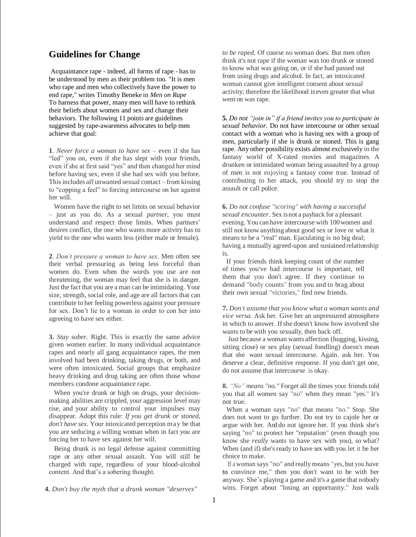## **Guidelines for Change**

Acquaintance rape - indeed, all forms of rape - has to be understood by men as their problem too. "It is men who rape and men who collectively have the power to end rape," writes Timothy Beneke in *Men on Rape* To harness that power, many men will have to rethink their beliefs about women and sex and change their behaviors. The following 11 points are guidelines suggested by rape-awareness advocates to help men achieve that goal:

**1**. *Never force a woman to have sex* – even if she has "led" you on, even if she has slept with your friends, even if she at first said "yes" and then changed her mind before having sex, even if she had sex with you before. This includes *all* unwanted sexual contact – from kissing to "copping a feel" to forcing intercourse on her against her will.

 Women have the right to set limits on sexual behavior – just as you do. As a sexual *partner*, you must understand and respect those limits. When partners' desires conflict, the one who wants more activity has to yield to the one who wants less (either male or female).

**2***. Don't pressure a woman to have sex*. Men often see their verbal pressuring as being less forceful than women do. Even when the words you use are not threatening, the woman may feel that she is in danger. Just the fact that you are a man can be intimidating. Your size, strength, social role, and age are all factors that can contribute to her feeling powerless against your pressure for sex. Don't lie to a woman in order to con her into agreeing to have sex either.

**3.** *Stay sober.* Right. This is exactly the same advice given women earlier. In many individual acquaintance rapes and nearly all gang acquaintance rapes, the men involved had been drinking, taking drugs, or both, and were often intoxicated. Social groups that emphasize heavy drinking and drug taking are often those whose members condone acquaintance rape.

 When you're drunk or high on drugs, your decisionmaking abilities are crippled, your aggression level may rise, and your ability to control your impulses may disappear. Adopt this rule: *If you get drunk or stoned, don't have sex.* Your intoxicated perception may be that you are seducing a willing woman when in fact you are forcing her to have sex against her will.

 Being drunk is no legal defense against committing rape or any other sexual assault. You will still be charged with rape, regardless of your blood-alcohol content. And that's a sobering thought.

**4.** *Don't buy the myth that a drunk woman "deserves"* 

*to be raped.* Of course no woman does. But men often think it's not rape if the woman was too drunk or stoned to know what was going on, or if she had passed out from using drugs and alcohol. In fact, an intoxicated woman cannot give intelligent consent about sexual activity; therefore the likelihood iseven greater that what went on was rape.

**5.** *Do not "join in" if a friend invites you to participate in sexual behavior.* Do not have intercourse or other sexual contact with a woman who is having sex with a group of men, particularly if she is drunk or stoned. This is gang rape. Any other possibility exists almost exclusively in the fantasy world of X-rated movies and magazines. A drunken or intimidated woman being assaulted by a group of men is not enjoying a fantasy come true. Instead of contributing to her attack, you should try to stop the assault or call police.

**6.** *Do not confuse "scoring" with having a successful sexual encounter.* Sex isnot a payback for a pleasant evening. You can have intercourse with 100women and still not knowanything about good sex or love or what it means to be a "real" man. Ejaculating is no big deal; having a mutually agreed-upon and sustained relationship is.

If your friends think keeping count of the number of times you've had intercourse is important, tell them that you don't agree. If they continue to demand "body counts" from you and to brag about their own sexual "victories," find new friends.

**7.** *Don't assume that you know what a woman wants and vice versa.* Ask her. Give her an unpressured atmosphere in which to answer. If she doesn't know how involved she wants to be with you sexually, then back off.

Just because a woman wants affection (hugging, kissing, sitting close) or sex play (sexual fondling) doesn't mean that she want sexual intercourse. Again, ask her. You deserve a clear, definitive response. If you don't get one, do not assume that intercourse is okay.

**8.** *"No" means "no."* Forget all the times your friends told you that all women say "no" when they mean "yes." It's not true.

When a woman says "no" that means "no." Stop. She does not want to go further. Do not try to cajole her or argue with her. And do not ignore her. If you think she's saying "no" to protect her "reputation" (even though you know she *really* wants to have sex with you), so what? When (and if) she's ready to have sex with you let it be her choice to make.

If a woman says "no" and really means "yes, but you have, to convince me," then you don't want to be with her anyway. She's playing a game and it's a game that nobody wins. Forget about "losing an opportunity." Just walk